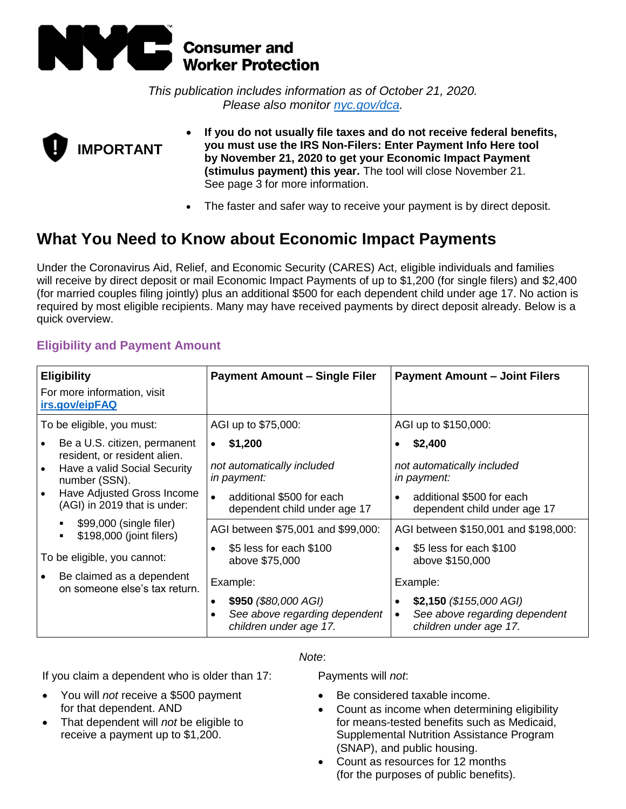

*This publication includes information as of October 21, 2020. Please also monitor [nyc.gov/dca.](https://www1.nyc.gov/site/dca/index.page)*



- **If you do not usually file taxes and do not receive federal benefits, you must use the IRS Non-Filers: Enter Payment Info Here tool by November 21, 2020 to get your Economic Impact Payment (stimulus payment) this year.** The tool will close November 21. See page 3 for more information.
- The faster and safer way to receive your payment is by direct deposit.

# **What You Need to Know about Economic Impact Payments**

Under the Coronavirus Aid, Relief, and Economic Security (CARES) Act, eligible individuals and families will receive by direct deposit or mail Economic Impact Payments of up to \$1,200 (for single filers) and \$2,400 (for married couples filing jointly) plus an additional \$500 for each dependent child under age 17. No action is required by most eligible recipients. Many may have received payments by direct deposit already. Below is a quick overview.

# **Eligibility and Payment Amount**

| <b>Eligibility</b><br>For more information, visit<br>irs.gov/eipFAQ                                                                                                         | <b>Payment Amount - Single Filer</b>                                                                                                        | <b>Payment Amount - Joint Filers</b>                                                                              |  |
|-----------------------------------------------------------------------------------------------------------------------------------------------------------------------------|---------------------------------------------------------------------------------------------------------------------------------------------|-------------------------------------------------------------------------------------------------------------------|--|
| To be eligible, you must:                                                                                                                                                   | AGI up to \$75,000:                                                                                                                         | AGI up to \$150,000:                                                                                              |  |
| Be a U.S. citizen, permanent<br>resident, or resident alien.<br>Have a valid Social Security<br>number (SSN).<br>Have Adjusted Gross Income<br>(AGI) in 2019 that is under: | \$1,200<br>$\bullet$<br>not automatically included<br>in payment:<br>additional \$500 for each<br>$\bullet$<br>dependent child under age 17 | \$2,400<br>not automatically included<br>in payment:<br>additional \$500 for each<br>dependent child under age 17 |  |
| \$99,000 (single filer)<br>\$198,000 (joint filers)                                                                                                                         | AGI between \$75,001 and \$99,000:<br>\$5 less for each \$100                                                                               | AGI between \$150,001 and \$198,000:<br>\$5 less for each \$100                                                   |  |
| To be eligible, you cannot:                                                                                                                                                 | above \$75,000                                                                                                                              | above \$150,000                                                                                                   |  |
| Be claimed as a dependent<br>on someone else's tax return.                                                                                                                  | Example:<br>\$950 (\$80,000 AGI)<br>See above regarding dependent<br>children under age 17.                                                 | Example:<br>\$2,150 $(\$155,000$ AGI)<br>See above regarding dependent<br>children under age 17.                  |  |

## *Note*:

If you claim a dependent who is older than 17:

• You will *not* receive a \$500 payment for that dependent. AND

• That dependent will *not* be eligible to receive a payment up to \$1,200.

Payments will *not*:

- Be considered taxable income.
- Count as income when determining eligibility for means-tested benefits such as Medicaid, Supplemental Nutrition Assistance Program (SNAP), and public housing.
- Count as resources for 12 months (for the purposes of public benefits).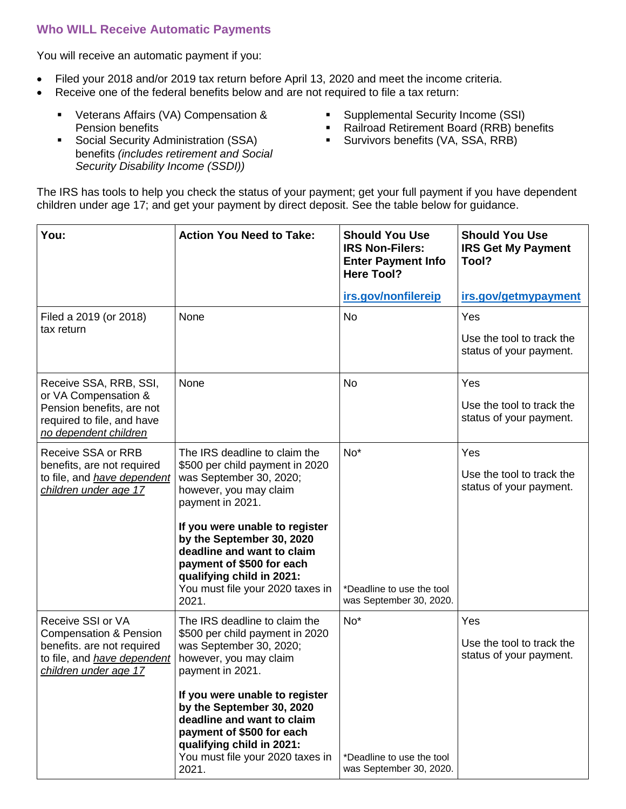# **Who WILL Receive Automatic Payments**

You will receive an automatic payment if you:

- Filed your 2018 and/or 2019 tax return before April 13, 2020 and meet the income criteria.
- Receive one of the federal benefits below and are not required to file a tax return:
	- Veterans Affairs (VA) Compensation & Pension benefits
	- **Social Security Administration (SSA)** benefits *(includes retirement and Social Security Disability Income (SSDI))*
- Supplemental Security Income (SSI)
- Railroad Retirement Board (RRB) benefits
- **E** Survivors benefits (VA, SSA, RRB)

The IRS has tools to help you check the status of your payment; get your full payment if you have dependent children under age 17; and get your payment by direct deposit. See the table below for guidance.

| You:                                                                                                                                         | <b>Action You Need to Take:</b>                                                                                                                                                                                                                                                                                                               | <b>Should You Use</b><br><b>IRS Non-Filers:</b><br><b>Enter Payment Info</b><br><b>Here Tool?</b> | <b>Should You Use</b><br><b>IRS Get My Payment</b><br>Tool? |
|----------------------------------------------------------------------------------------------------------------------------------------------|-----------------------------------------------------------------------------------------------------------------------------------------------------------------------------------------------------------------------------------------------------------------------------------------------------------------------------------------------|---------------------------------------------------------------------------------------------------|-------------------------------------------------------------|
|                                                                                                                                              |                                                                                                                                                                                                                                                                                                                                               | irs.gov/nonfilereip                                                                               | irs.gov/getmypayment                                        |
| Filed a 2019 (or 2018)<br>tax return                                                                                                         | None                                                                                                                                                                                                                                                                                                                                          | <b>No</b>                                                                                         | Yes<br>Use the tool to track the<br>status of your payment. |
| Receive SSA, RRB, SSI,<br>or VA Compensation &<br>Pension benefits, are not<br>required to file, and have<br>no dependent children           | None                                                                                                                                                                                                                                                                                                                                          | <b>No</b>                                                                                         | Yes<br>Use the tool to track the<br>status of your payment. |
| Receive SSA or RRB<br>benefits, are not required<br>to file, and have dependent<br>children under age 17                                     | The IRS deadline to claim the<br>\$500 per child payment in 2020<br>was September 30, 2020;<br>however, you may claim<br>payment in 2021.<br>If you were unable to register<br>by the September 30, 2020<br>deadline and want to claim<br>payment of \$500 for each<br>qualifying child in 2021:<br>You must file your 2020 taxes in<br>2021. | $No*$<br>*Deadline to use the tool<br>was September 30, 2020.                                     | Yes<br>Use the tool to track the<br>status of your payment. |
| Receive SSI or VA<br><b>Compensation &amp; Pension</b><br>benefits. are not required<br>to file, and have dependent<br>children under age 17 | The IRS deadline to claim the<br>\$500 per child payment in 2020<br>was September 30, 2020;<br>however, you may claim<br>payment in 2021.<br>If you were unable to register<br>by the September 30, 2020<br>deadline and want to claim<br>payment of \$500 for each<br>qualifying child in 2021:<br>You must file your 2020 taxes in<br>2021. | $No*$<br>*Deadline to use the tool<br>was September 30, 2020.                                     | Yes<br>Use the tool to track the<br>status of your payment. |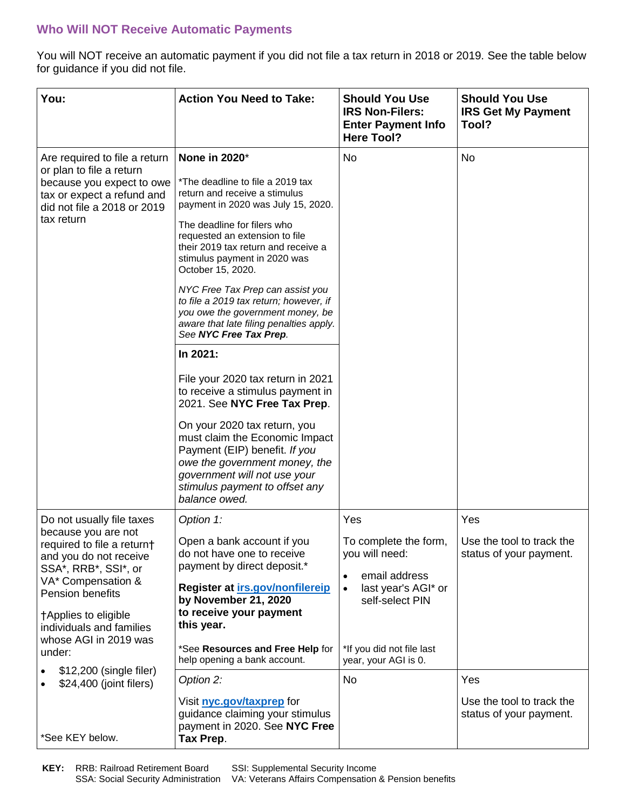# **Who Will NOT Receive Automatic Payments**

You will NOT receive an automatic payment if you did not file a tax return in 2018 or 2019. See the table below for guidance if you did not file.

| You:                                                                                                                                                                                                                                                                                         | <b>Action You Need to Take:</b>                                                                                                                                                                                                                                                                                                                                                                                                                                                                                                                                                                                                                                                                                                                                                                         | <b>Should You Use</b><br><b>IRS Non-Filers:</b><br><b>Enter Payment Info</b><br><b>Here Tool?</b>                                                              | <b>Should You Use</b><br><b>IRS Get My Payment</b><br>Tool? |
|----------------------------------------------------------------------------------------------------------------------------------------------------------------------------------------------------------------------------------------------------------------------------------------------|---------------------------------------------------------------------------------------------------------------------------------------------------------------------------------------------------------------------------------------------------------------------------------------------------------------------------------------------------------------------------------------------------------------------------------------------------------------------------------------------------------------------------------------------------------------------------------------------------------------------------------------------------------------------------------------------------------------------------------------------------------------------------------------------------------|----------------------------------------------------------------------------------------------------------------------------------------------------------------|-------------------------------------------------------------|
| Are required to file a return<br>or plan to file a return<br>because you expect to owe<br>tax or expect a refund and<br>did not file a 2018 or 2019<br>tax return                                                                                                                            | None in 2020*<br>*The deadline to file a 2019 tax<br>return and receive a stimulus<br>payment in 2020 was July 15, 2020.<br>The deadline for filers who<br>requested an extension to file<br>their 2019 tax return and receive a<br>stimulus payment in 2020 was<br>October 15, 2020.<br>NYC Free Tax Prep can assist you<br>to file a 2019 tax return; however, if<br>you owe the government money, be<br>aware that late filing penalties apply.<br>See NYC Free Tax Prep.<br>In 2021:<br>File your 2020 tax return in 2021<br>to receive a stimulus payment in<br>2021. See NYC Free Tax Prep.<br>On your 2020 tax return, you<br>must claim the Economic Impact<br>Payment (EIP) benefit. If you<br>owe the government money, the<br>government will not use your<br>stimulus payment to offset any | No                                                                                                                                                             | <b>No</b>                                                   |
| Do not usually file taxes<br>because you are not<br>required to file a return†<br>and you do not receive<br>SSA*, RRB*, SSI*, or<br>VA* Compensation &<br>Pension benefits<br>†Applies to eligible<br>individuals and families<br>whose AGI in 2019 was<br>under:<br>\$12,200 (single filer) | balance owed.<br>Option 1:<br>Open a bank account if you<br>do not have one to receive<br>payment by direct deposit.*<br>Register at irs.gov/nonfilereip<br>by November 21, 2020<br>to receive your payment<br>this year.<br>*See Resources and Free Help for<br>help opening a bank account.                                                                                                                                                                                                                                                                                                                                                                                                                                                                                                           | Yes<br>To complete the form,<br>you will need:<br>email address<br>last year's AGI* or<br>self-select PIN<br>*If you did not file last<br>year, your AGI is 0. | Yes<br>Use the tool to track the<br>status of your payment. |
| \$24,400 (joint filers)<br>*See KEY below.                                                                                                                                                                                                                                                   | Option 2:<br>Visit nyc.gov/taxprep for<br>guidance claiming your stimulus<br>payment in 2020. See NYC Free<br>Tax Prep.                                                                                                                                                                                                                                                                                                                                                                                                                                                                                                                                                                                                                                                                                 | No                                                                                                                                                             | Yes<br>Use the tool to track the<br>status of your payment. |